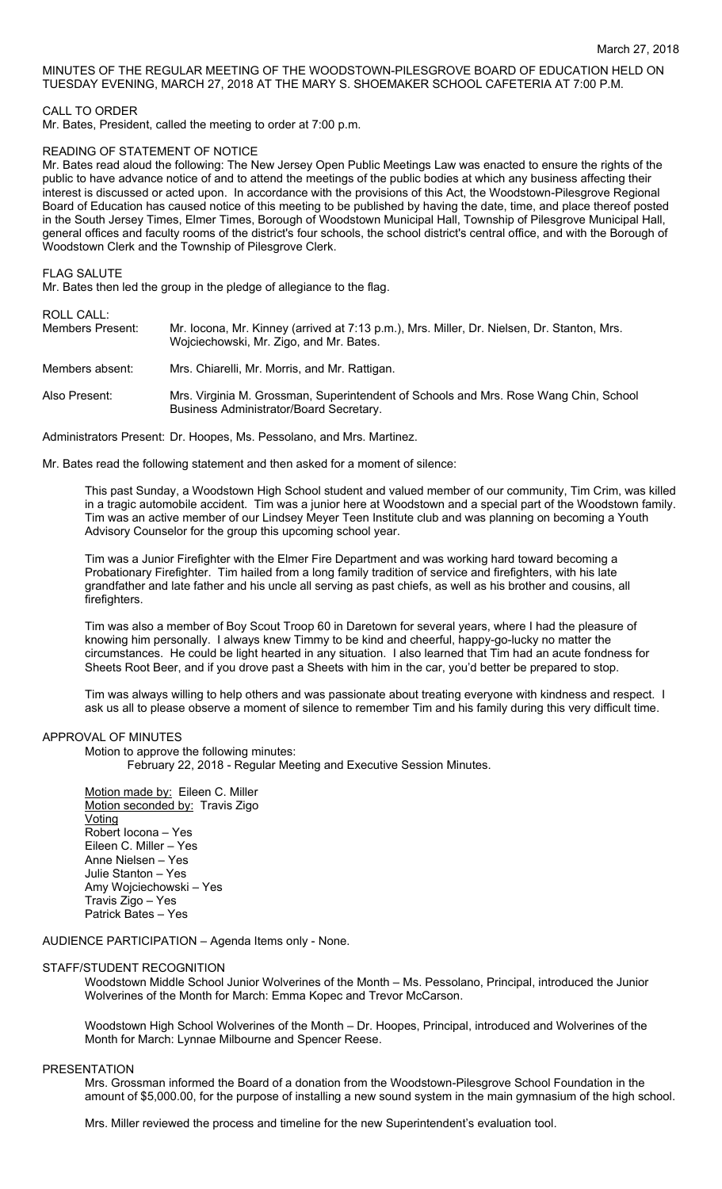# MINUTES OF THE REGULAR MEETING OF THE WOODSTOWN-PILESGROVE BOARD OF EDUCATION HELD ON TUESDAY EVENING, MARCH 27, 2018 AT THE MARY S. SHOEMAKER SCHOOL CAFETERIA AT 7:00 P.M.

### CALL TO ORDER

Mr. Bates, President, called the meeting to order at 7:00 p.m.

### READING OF STATEMENT OF NOTICE

Mr. Bates read aloud the following: The New Jersey Open Public Meetings Law was enacted to ensure the rights of the public to have advance notice of and to attend the meetings of the public bodies at which any business affecting their interest is discussed or acted upon. In accordance with the provisions of this Act, the Woodstown-Pilesgrove Regional Board of Education has caused notice of this meeting to be published by having the date, time, and place thereof posted in the South Jersey Times, Elmer Times, Borough of Woodstown Municipal Hall, Township of Pilesgrove Municipal Hall, general offices and faculty rooms of the district's four schools, the school district's central office, and with the Borough of Woodstown Clerk and the Township of Pilesgrove Clerk.

### FLAG SALUTE

Mr. Bates then led the group in the pledge of allegiance to the flag.

ROLL CALL:

| .<br>Members Present: | Mr. locona, Mr. Kinney (arrived at 7:13 p.m.), Mrs. Miller, Dr. Nielsen, Dr. Stanton, Mrs.<br>Wojciechowski, Mr. Zigo, and Mr. Bates. |
|-----------------------|---------------------------------------------------------------------------------------------------------------------------------------|
| Members absent:       | Mrs. Chiarelli, Mr. Morris, and Mr. Rattigan.                                                                                         |
| Also Present:         | Mrs. Virginia M. Grossman, Superintendent of Schools and Mrs. Rose Wang Chin, School<br>Business Administrator/Board Secretary.       |

Administrators Present: Dr. Hoopes, Ms. Pessolano, and Mrs. Martinez.

Mr. Bates read the following statement and then asked for a moment of silence:

This past Sunday, a Woodstown High School student and valued member of our community, Tim Crim, was killed in a tragic automobile accident. Tim was a junior here at Woodstown and a special part of the Woodstown family. Tim was an active member of our Lindsey Meyer Teen Institute club and was planning on becoming a Youth Advisory Counselor for the group this upcoming school year.

Tim was a Junior Firefighter with the Elmer Fire Department and was working hard toward becoming a Probationary Firefighter. Tim hailed from a long family tradition of service and firefighters, with his late grandfather and late father and his uncle all serving as past chiefs, as well as his brother and cousins, all firefighters.

Tim was also a member of Boy Scout Troop 60 in Daretown for several years, where I had the pleasure of knowing him personally. I always knew Timmy to be kind and cheerful, happy-go-lucky no matter the circumstances. He could be light hearted in any situation. I also learned that Tim had an acute fondness for Sheets Root Beer, and if you drove past a Sheets with him in the car, you'd better be prepared to stop.

Tim was always willing to help others and was passionate about treating everyone with kindness and respect. I ask us all to please observe a moment of silence to remember Tim and his family during this very difficult time.

### APPROVAL OF MINUTES

Motion to approve the following minutes:

February 22, 2018 - Regular Meeting and Executive Session Minutes.

Motion made by: Eileen C. Miller Motion seconded by: Travis Zigo Voting Robert Iocona – Yes Eileen C. Miller – Yes Anne Nielsen – Yes Julie Stanton – Yes Amy Wojciechowski – Yes Travis Zigo – Yes Patrick Bates – Yes

AUDIENCE PARTICIPATION – Agenda Items only - None.

#### STAFF/STUDENT RECOGNITION

Woodstown Middle School Junior Wolverines of the Month – Ms. Pessolano, Principal, introduced the Junior Wolverines of the Month for March: Emma Kopec and Trevor McCarson.

Woodstown High School Wolverines of the Month – Dr. Hoopes, Principal, introduced and Wolverines of the Month for March: Lynnae Milbourne and Spencer Reese.

#### **PRESENTATION**

Mrs. Grossman informed the Board of a donation from the Woodstown-Pilesgrove School Foundation in the amount of \$5,000.00, for the purpose of installing a new sound system in the main gymnasium of the high school.

Mrs. Miller reviewed the process and timeline for the new Superintendent's evaluation tool.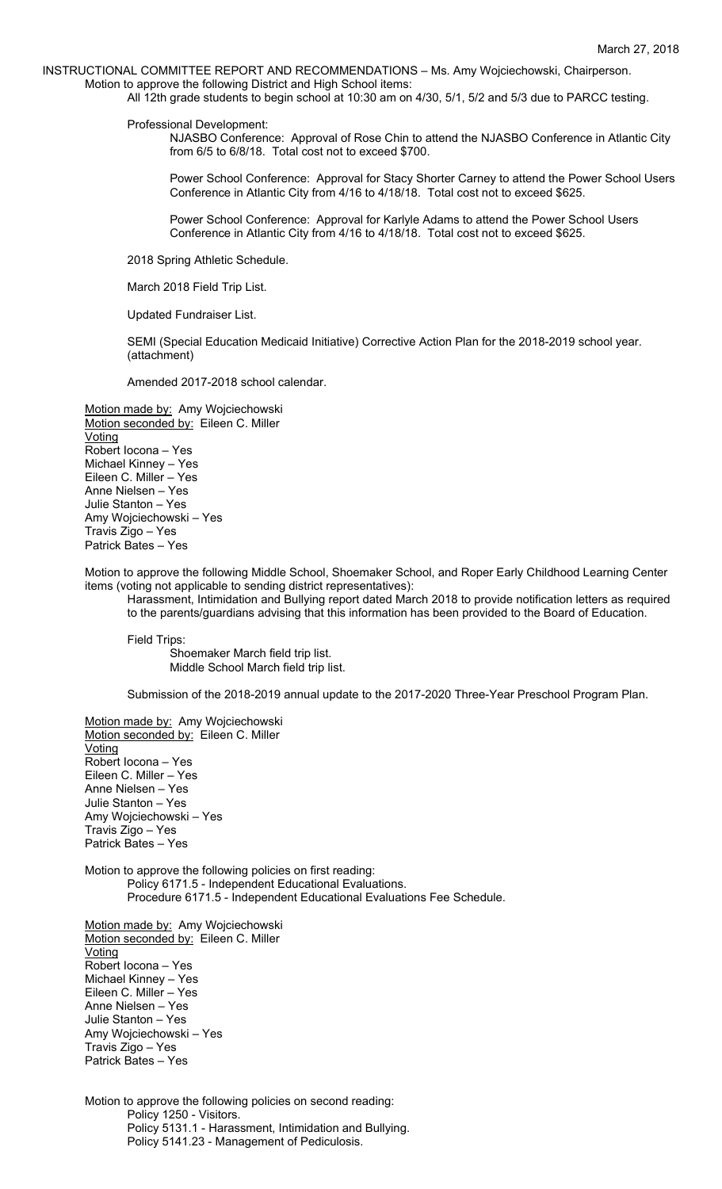INSTRUCTIONAL COMMITTEE REPORT AND RECOMMENDATIONS – Ms. Amy Wojciechowski, Chairperson. Motion to approve the following District and High School items:

All 12th grade students to begin school at 10:30 am on 4/30, 5/1, 5/2 and 5/3 due to PARCC testing.

Professional Development:

NJASBO Conference: Approval of Rose Chin to attend the NJASBO Conference in Atlantic City from 6/5 to 6/8/18. Total cost not to exceed \$700.

Power School Conference: Approval for Stacy Shorter Carney to attend the Power School Users Conference in Atlantic City from 4/16 to 4/18/18. Total cost not to exceed \$625.

Power School Conference: Approval for Karlyle Adams to attend the Power School Users Conference in Atlantic City from 4/16 to 4/18/18. Total cost not to exceed \$625.

2018 Spring Athletic Schedule.

March 2018 Field Trip List.

Updated Fundraiser List.

SEMI (Special Education Medicaid Initiative) Corrective Action Plan for the 2018-2019 school year. (attachment)

Amended 2017-2018 school calendar.

Motion made by: Amy Wojciechowski Motion seconded by: Eileen C. Miller Voting Robert Iocona – Yes Michael Kinney – Yes Eileen C. Miller – Yes Anne Nielsen – Yes Julie Stanton – Yes Amy Wojciechowski – Yes Travis Zigo – Yes Patrick Bates – Yes

Motion to approve the following Middle School, Shoemaker School, and Roper Early Childhood Learning Center items (voting not applicable to sending district representatives):

Harassment, Intimidation and Bullying report dated March 2018 to provide notification letters as required to the parents/guardians advising that this information has been provided to the Board of Education.

Field Trips:

Shoemaker March field trip list. Middle School March field trip list.

Submission of the 2018-2019 annual update to the 2017-2020 Three-Year Preschool Program Plan.

Motion made by: Amy Wojciechowski Motion seconded by: Eileen C. Miller **Voting** Robert Iocona – Yes Eileen C. Miller – Yes Anne Nielsen – Yes Julie Stanton – Yes Amy Wojciechowski – Yes Travis Zigo – Yes Patrick Bates – Yes

Motion to approve the following policies on first reading: Policy 6171.5 - Independent Educational Evaluations. Procedure 6171.5 - Independent Educational Evaluations Fee Schedule.

Motion made by: Amy Wojciechowski Motion seconded by: Eileen C. Miller **Voting** Robert Iocona – Yes Michael Kinney – Yes Eileen C. Miller – Yes Anne Nielsen – Yes Julie Stanton – Yes Amy Wojciechowski – Yes Travis Zigo – Yes Patrick Bates – Yes

Motion to approve the following policies on second reading: Policy 1250 - Visitors. Policy 5131.1 - Harassment, Intimidation and Bullying. Policy 5141.23 - Management of Pediculosis.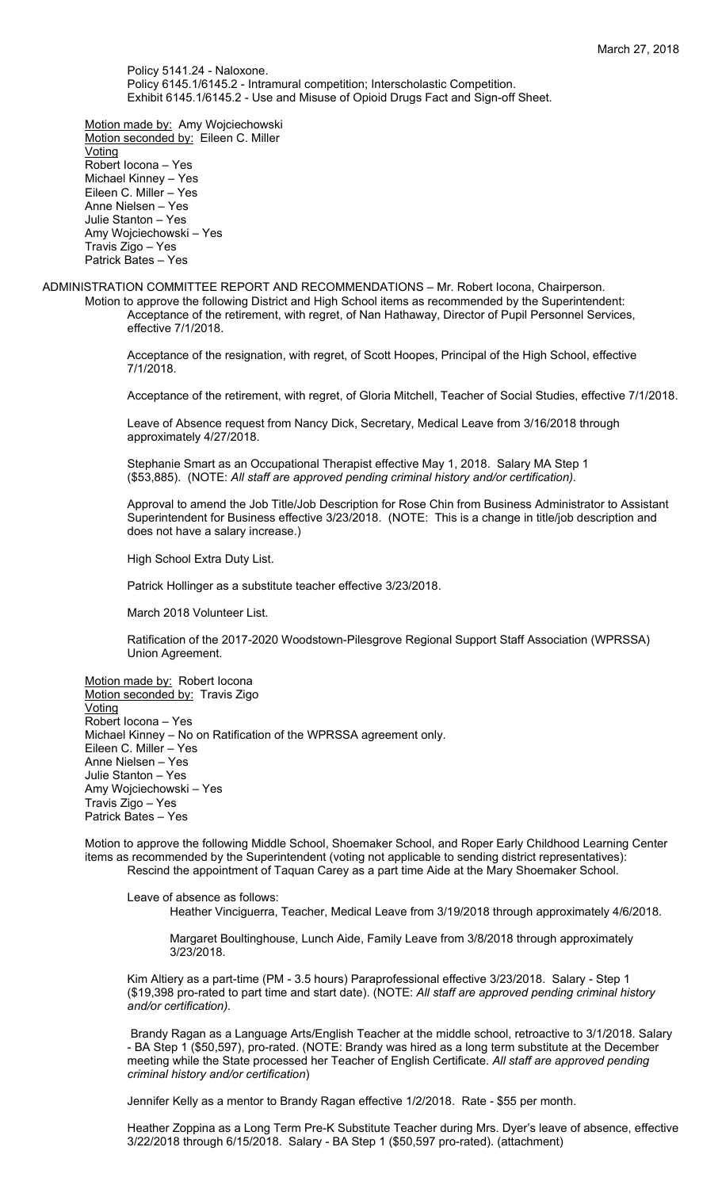Policy 5141.24 - Naloxone. Policy 6145.1/6145.2 - Intramural competition; Interscholastic Competition. Exhibit 6145.1/6145.2 - Use and Misuse of Opioid Drugs Fact and Sign-off Sheet.

Motion made by: Amy Wojciechowski Motion seconded by: Eileen C. Miller Voting Robert Iocona – Yes Michael Kinney – Yes Eileen C. Miller – Yes Anne Nielsen – Yes Julie Stanton – Yes Amy Wojciechowski – Yes Travis Zigo – Yes Patrick Bates – Yes

ADMINISTRATION COMMITTEE REPORT AND RECOMMENDATIONS – Mr. Robert Iocona, Chairperson.

Motion to approve the following District and High School items as recommended by the Superintendent: Acceptance of the retirement, with regret, of Nan Hathaway, Director of Pupil Personnel Services, effective 7/1/2018.

Acceptance of the resignation, with regret, of Scott Hoopes, Principal of the High School, effective 7/1/2018.

Acceptance of the retirement, with regret, of Gloria Mitchell, Teacher of Social Studies, effective 7/1/2018.

Leave of Absence request from Nancy Dick, Secretary, Medical Leave from 3/16/2018 through approximately 4/27/2018.

Stephanie Smart as an Occupational Therapist effective May 1, 2018. Salary MA Step 1 (\$53,885). (NOTE: *All staff are approved pending criminal history and/or certification).*

Approval to amend the Job Title/Job Description for Rose Chin from Business Administrator to Assistant Superintendent for Business effective 3/23/2018. (NOTE: This is a change in title/job description and does not have a salary increase.)

High School Extra Duty List.

Patrick Hollinger as a substitute teacher effective 3/23/2018.

March 2018 Volunteer List.

Ratification of the 2017-2020 Woodstown-Pilesgrove Regional Support Staff Association (WPRSSA) Union Agreement.

Motion made by: Robert locona Motion seconded by: Travis Zigo **Voting** Robert Iocona – Yes Michael Kinney – No on Ratification of the WPRSSA agreement only. Eileen C. Miller – Yes Anne Nielsen – Yes Julie Stanton – Yes Amy Wojciechowski – Yes Travis Zigo – Yes Patrick Bates – Yes

Motion to approve the following Middle School, Shoemaker School, and Roper Early Childhood Learning Center items as recommended by the Superintendent (voting not applicable to sending district representatives): Rescind the appointment of Taquan Carey as a part time Aide at the Mary Shoemaker School.

Leave of absence as follows: Heather Vinciguerra, Teacher, Medical Leave from 3/19/2018 through approximately 4/6/2018.

Margaret Boultinghouse, Lunch Aide, Family Leave from 3/8/2018 through approximately 3/23/2018.

Kim Altiery as a part-time (PM - 3.5 hours) Paraprofessional effective 3/23/2018. Salary - Step 1 (\$19,398 pro-rated to part time and start date). (NOTE: *All staff are approved pending criminal history and/or certification).*

Brandy Ragan as a Language Arts/English Teacher at the middle school, retroactive to 3/1/2018. Salary - BA Step 1 (\$50,597), pro-rated. (NOTE: Brandy was hired as a long term substitute at the December meeting while the State processed her Teacher of English Certificate. *All staff are approved pending criminal history and/or certification*)

Jennifer Kelly as a mentor to Brandy Ragan effective 1/2/2018. Rate - \$55 per month.

Heather Zoppina as a Long Term Pre-K Substitute Teacher during Mrs. Dyer's leave of absence, effective 3/22/2018 through 6/15/2018. Salary - BA Step 1 (\$50,597 pro-rated). (attachment)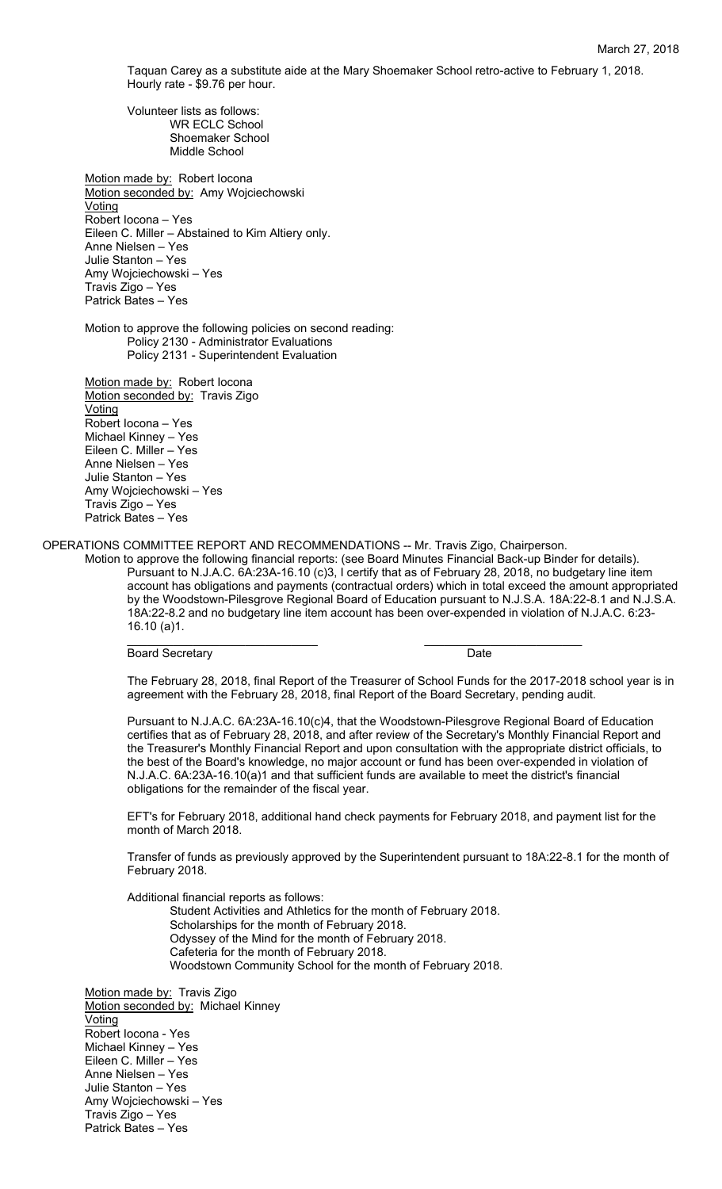Taquan Carey as a substitute aide at the Mary Shoemaker School retro-active to February 1, 2018. Hourly rate - \$9.76 per hour.

Volunteer lists as follows: WR ECLC School Shoemaker School Middle School

Motion made by: Robert locona Motion seconded by: Amy Wojciechowski Voting Robert Iocona – Yes Eileen C. Miller – Abstained to Kim Altiery only. Anne Nielsen – Yes Julie Stanton – Yes Amy Wojciechowski – Yes Travis Zigo – Yes Patrick Bates – Yes

Motion to approve the following policies on second reading: Policy 2130 - Administrator Evaluations Policy 2131 - Superintendent Evaluation

Motion made by: Robert locona Motion seconded by: Travis Zigo Voting Robert Iocona – Yes Michael Kinney – Yes Eileen C. Miller – Yes Anne Nielsen – Yes Julie Stanton – Yes Amy Wojciechowski – Yes Travis Zigo – Yes Patrick Bates – Yes

OPERATIONS COMMITTEE REPORT AND RECOMMENDATIONS -- Mr. Travis Zigo, Chairperson.

Motion to approve the following financial reports: (see Board Minutes Financial Back-up Binder for details). Pursuant to N.J.A.C. 6A:23A-16.10 (c)3, I certify that as of February 28, 2018, no budgetary line item account has obligations and payments (contractual orders) which in total exceed the amount appropriated by the Woodstown-Pilesgrove Regional Board of Education pursuant to N.J.S.A. 18A:22-8.1 and N.J.S.A. 18A:22-8.2 and no budgetary line item account has been over-expended in violation of N.J.A.C. 6:23- 16.10 (a)1.

\_\_\_\_\_\_\_\_\_\_\_\_\_\_\_\_\_\_\_\_\_\_\_\_\_\_\_\_\_ \_\_\_\_\_\_\_\_\_\_\_\_\_\_\_\_\_\_\_\_\_\_\_\_

Board Secretary **Date** 

The February 28, 2018, final Report of the Treasurer of School Funds for the 2017-2018 school year is in agreement with the February 28, 2018, final Report of the Board Secretary, pending audit.

Pursuant to N.J.A.C. 6A:23A-16.10(c)4, that the Woodstown-Pilesgrove Regional Board of Education certifies that as of February 28, 2018, and after review of the Secretary's Monthly Financial Report and the Treasurer's Monthly Financial Report and upon consultation with the appropriate district officials, to the best of the Board's knowledge, no major account or fund has been over-expended in violation of N.J.A.C. 6A:23A-16.10(a)1 and that sufficient funds are available to meet the district's financial obligations for the remainder of the fiscal year.

EFT's for February 2018, additional hand check payments for February 2018, and payment list for the month of March 2018.

Transfer of funds as previously approved by the Superintendent pursuant to 18A:22-8.1 for the month of February 2018.

Additional financial reports as follows:

Student Activities and Athletics for the month of February 2018. Scholarships for the month of February 2018. Odyssey of the Mind for the month of February 2018. Cafeteria for the month of February 2018. Woodstown Community School for the month of February 2018.

Motion made by: Travis Zigo Motion seconded by: Michael Kinney Voting Robert Iocona - Yes Michael Kinney – Yes Eileen C. Miller – Yes Anne Nielsen – Yes Julie Stanton – Yes Amy Wojciechowski – Yes Travis Zigo – Yes Patrick Bates – Yes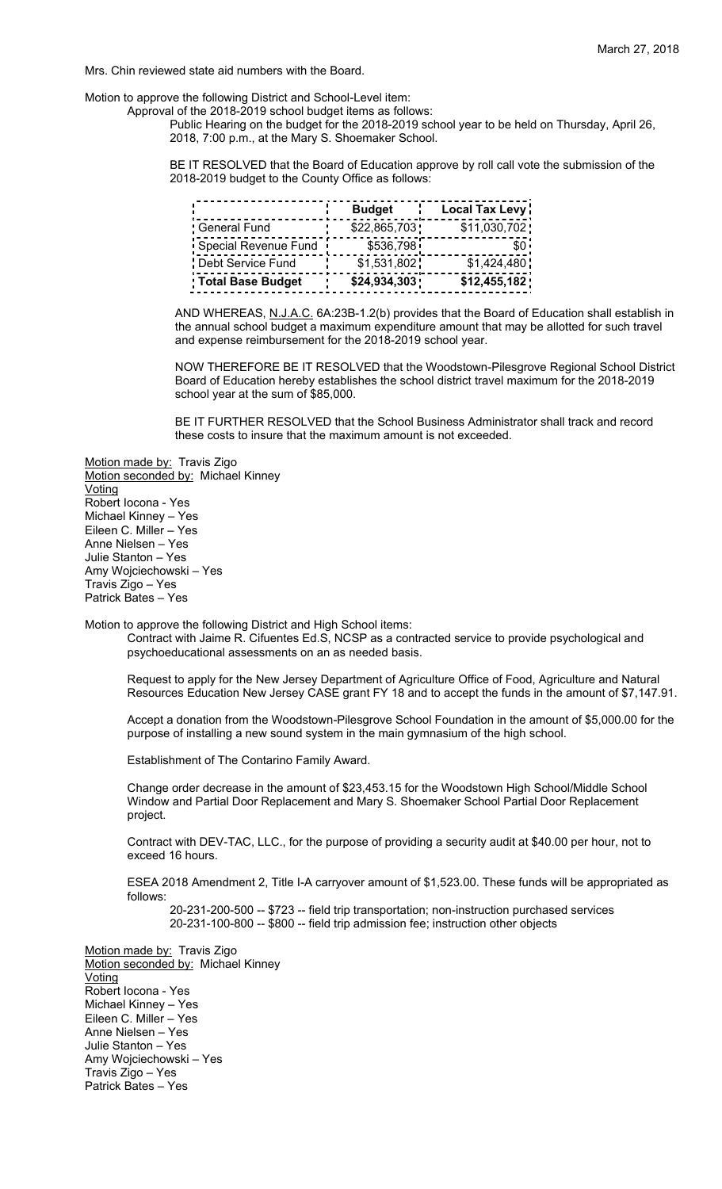Mrs. Chin reviewed state aid numbers with the Board.

Motion to approve the following District and School-Level item:

Approval of the 2018-2019 school budget items as follows:

Public Hearing on the budget for the 2018-2019 school year to be held on Thursday, April 26, 2018, 7:00 p.m., at the Mary S. Shoemaker School.

BE IT RESOLVED that the Board of Education approve by roll call vote the submission of the 2018-2019 budget to the County Office as follows:

|                      | <b>Budget</b> | Local Tax Levy |
|----------------------|---------------|----------------|
| <b>General Fund</b>  | \$22,865,703  | \$11,030,702   |
| Special Revenue Fund | \$536,798     |                |
| Debt Service Fund    | \$1,531,802   | \$1,424,480    |
| Total Base Budget    | \$24,934,303  | \$12,455,182   |

AND WHEREAS, N.J.A.C. 6A:23B-1.2(b) provides that the Board of Education shall establish in the annual school budget a maximum expenditure amount that may be allotted for such travel and expense reimbursement for the 2018-2019 school year.

NOW THEREFORE BE IT RESOLVED that the Woodstown-Pilesgrove Regional School District Board of Education hereby establishes the school district travel maximum for the 2018-2019 school year at the sum of \$85,000.

BE IT FURTHER RESOLVED that the School Business Administrator shall track and record these costs to insure that the maximum amount is not exceeded.

Motion made by: Travis Zigo Motion seconded by: Michael Kinney **Voting** Robert Iocona - Yes Michael Kinney – Yes Eileen C. Miller – Yes Anne Nielsen – Yes Julie Stanton – Yes Amy Wojciechowski – Yes Travis Zigo – Yes Patrick Bates – Yes

Motion to approve the following District and High School items:

Contract with Jaime R. Cifuentes Ed.S, NCSP as a contracted service to provide psychological and psychoeducational assessments on an as needed basis.

Request to apply for the New Jersey Department of Agriculture Office of Food, Agriculture and Natural Resources Education New Jersey CASE grant FY 18 and to accept the funds in the amount of \$7,147.91.

Accept a donation from the Woodstown-Pilesgrove School Foundation in the amount of \$5,000.00 for the purpose of installing a new sound system in the main gymnasium of the high school.

Establishment of The Contarino Family Award.

Change order decrease in the amount of \$23,453.15 for the Woodstown High School/Middle School Window and Partial Door Replacement and Mary S. Shoemaker School Partial Door Replacement project.

Contract with DEV-TAC, LLC., for the purpose of providing a security audit at \$40.00 per hour, not to exceed 16 hours.

ESEA 2018 Amendment 2, Title I-A carryover amount of \$1,523.00. These funds will be appropriated as follows:

20-231-200-500 -- \$723 -- field trip transportation; non-instruction purchased services 20-231-100-800 -- \$800 -- field trip admission fee; instruction other objects

Motion made by: Travis Zigo Motion seconded by: Michael Kinney **Voting** Robert Iocona - Yes Michael Kinney – Yes Eileen C. Miller – Yes Anne Nielsen – Yes Julie Stanton – Yes Amy Wojciechowski – Yes Travis Zigo – Yes Patrick Bates – Yes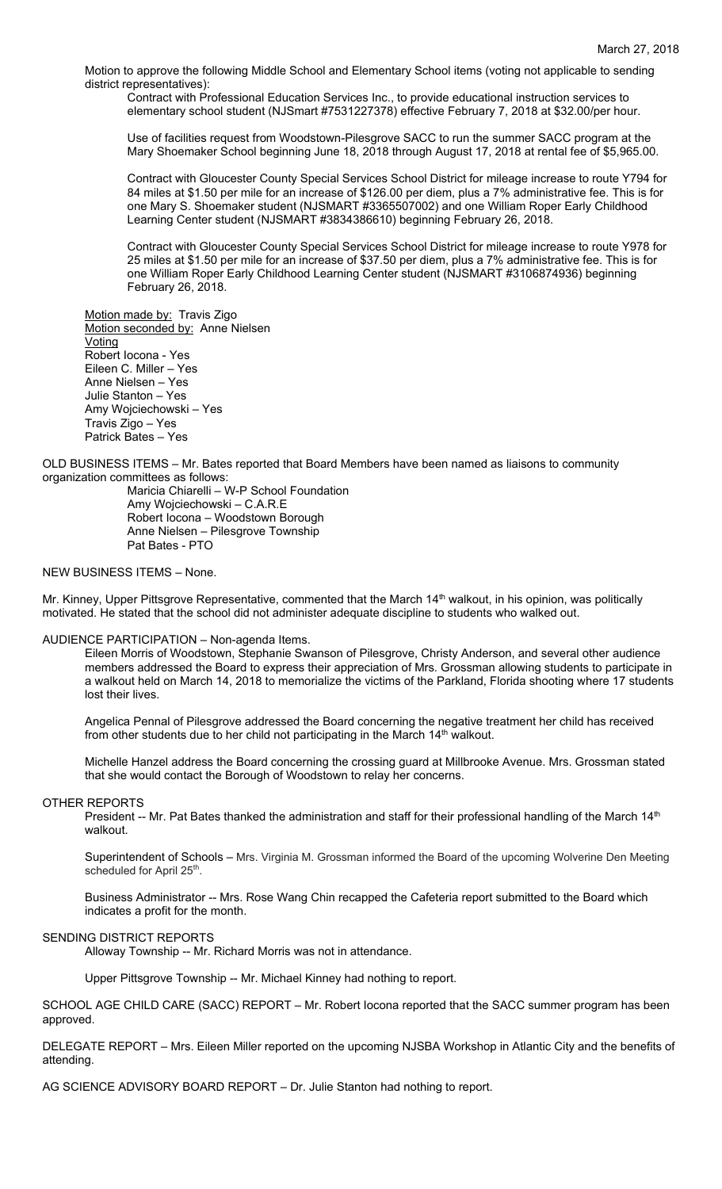Motion to approve the following Middle School and Elementary School items (voting not applicable to sending district representatives):

Contract with Professional Education Services Inc., to provide educational instruction services to elementary school student (NJSmart #7531227378) effective February 7, 2018 at \$32.00/per hour.

Use of facilities request from Woodstown-Pilesgrove SACC to run the summer SACC program at the Mary Shoemaker School beginning June 18, 2018 through August 17, 2018 at rental fee of \$5,965.00.

Contract with Gloucester County Special Services School District for mileage increase to route Y794 for 84 miles at \$1.50 per mile for an increase of \$126.00 per diem, plus a 7% administrative fee. This is for one Mary S. Shoemaker student (NJSMART #3365507002) and one William Roper Early Childhood Learning Center student (NJSMART #3834386610) beginning February 26, 2018.

Contract with Gloucester County Special Services School District for mileage increase to route Y978 for 25 miles at \$1.50 per mile for an increase of \$37.50 per diem, plus a 7% administrative fee. This is for one William Roper Early Childhood Learning Center student (NJSMART #3106874936) beginning February 26, 2018.

Motion made by: Travis Zigo Motion seconded by: Anne Nielsen Voting Robert Iocona - Yes Eileen C. Miller – Yes Anne Nielsen – Yes Julie Stanton – Yes Amy Wojciechowski – Yes Travis Zigo – Yes Patrick Bates – Yes

OLD BUSINESS ITEMS – Mr. Bates reported that Board Members have been named as liaisons to community organization committees as follows:

Maricia Chiarelli – W-P School Foundation Amy Wojciechowski – C.A.R.E Robert Iocona – Woodstown Borough Anne Nielsen – Pilesgrove Township Pat Bates - PTO

### NEW BUSINESS ITEMS – None.

Mr. Kinney, Upper Pittsgrove Representative, commented that the March 14<sup>th</sup> walkout, in his opinion, was politically motivated. He stated that the school did not administer adequate discipline to students who walked out.

### AUDIENCE PARTICIPATION – Non-agenda Items.

Eileen Morris of Woodstown, Stephanie Swanson of Pilesgrove, Christy Anderson, and several other audience members addressed the Board to express their appreciation of Mrs. Grossman allowing students to participate in a walkout held on March 14, 2018 to memorialize the victims of the Parkland, Florida shooting where 17 students lost their lives.

Angelica Pennal of Pilesgrove addressed the Board concerning the negative treatment her child has received from other students due to her child not participating in the March  $14<sup>th</sup>$  walkout.

Michelle Hanzel address the Board concerning the crossing guard at Millbrooke Avenue. Mrs. Grossman stated that she would contact the Borough of Woodstown to relay her concerns.

#### OTHER REPORTS

President -- Mr. Pat Bates thanked the administration and staff for their professional handling of the March 14<sup>th</sup> walkout.

Superintendent of Schools – Mrs. Virginia M. Grossman informed the Board of the upcoming Wolverine Den Meeting scheduled for April 25<sup>th</sup>.

Business Administrator -- Mrs. Rose Wang Chin recapped the Cafeteria report submitted to the Board which indicates a profit for the month.

#### SENDING DISTRICT REPORTS

Alloway Township -- Mr. Richard Morris was not in attendance.

Upper Pittsgrove Township -- Mr. Michael Kinney had nothing to report.

SCHOOL AGE CHILD CARE (SACC) REPORT – Mr. Robert Iocona reported that the SACC summer program has been approved.

DELEGATE REPORT – Mrs. Eileen Miller reported on the upcoming NJSBA Workshop in Atlantic City and the benefits of attending.

AG SCIENCE ADVISORY BOARD REPORT – Dr. Julie Stanton had nothing to report.